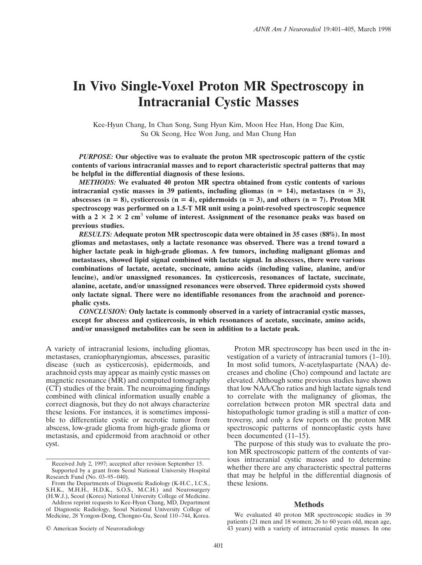# **In Vivo Single-Voxel Proton MR Spectroscopy in Intracranial Cystic Masses**

Kee-Hyun Chang, In Chan Song, Sung Hyun Kim, Moon Hee Han, Hong Dae Kim, Su Ok Seong, Hee Won Jung, and Man Chung Han

*PURPOSE:* **Our objective was to evaluate the proton MR spectroscopic pattern of the cystic contents of various intracranial masses and to report characteristic spectral patterns that may be helpful in the differential diagnosis of these lesions.**

*METHODS:* **We evaluated 40 proton MR spectra obtained from cystic contents of various intracranial cystic masses in 39 patients, including gliomas (n = 14), metastases (n = 3), abscesses (n** = 8), cysticercosis (n = 4), epidermoids (n = 3), and others (n = 7). Proton MR **spectroscopy was performed on a 1.5-T MR unit using a point-resolved spectroscopic sequence** with a 2  $\times$  2  $\times$  2 cm<sup>3</sup> volume of interest. Assignment of the resonance peaks was based on **previous studies.**

*RESULTS:* **Adequate proton MR spectroscopic data were obtained in 35 cases (88%). In most gliomas and metastases, only a lactate resonance was observed. There was a trend toward a higher lactate peak in high-grade gliomas. A few tumors, including malignant gliomas and metastases, showed lipid signal combined with lactate signal. In abscesses, there were various combinations of lactate, acetate, succinate, amino acids (including valine, alanine, and/or leucine), and/or unassigned resonances. In cysticercosis, resonances of lactate, succinate, alanine, acetate, and/or unassigned resonances were observed. Three epidermoid cysts showed only lactate signal. There were no identifiable resonances from the arachnoid and porencephalic cysts.**

*CONCLUSION:* **Only lactate is commonly observed in a variety of intracranial cystic masses, except for abscess and cysticercosis, in which resonances of acetate, succinate, amino acids, and/or unassigned metabolites can be seen in addition to a lactate peak.**

A variety of intracranial lesions, including gliomas, metastases, craniopharyngiomas, abscesses, parasitic disease (such as cysticercosis), epidermoids, and arachnoid cysts may appear as mainly cystic masses on magnetic resonance  $(MR)$  and computed tomography (CT) studies of the brain. The neuroimaging findings combined with clinical information usually enable a correct diagnosis, but they do not always characterize these lesions. For instances, it is sometimes impossible to differentiate cystic or necrotic tumor from abscess, low-grade glioma from high-grade glioma or metastasis, and epidermoid from arachnoid or other cyst.

© American Society of Neuroradiology

Proton MR spectroscopy has been used in the investigation of a variety of intracranial tumors (1–10). In most solid tumors, *N*-acetylaspartate (NAA) decreases and choline (Cho) compound and lactate are elevated. Although some previous studies have shown that low NAA/Cho ratios and high lactate signals tend to correlate with the malignancy of gliomas, the correlation between proton MR spectral data and histopathologic tumor grading is still a matter of controversy, and only a few reports on the proton MR spectroscopic patterns of nonneoplastic cysts have been documented (11–15).

The purpose of this study was to evaluate the proton MR spectroscopic pattern of the contents of various intracranial cystic masses and to determine whether there are any characteristic spectral patterns that may be helpful in the differential diagnosis of these lesions.

# **Methods**

Received July 2, 1997; accepted after revision September 15. Supported by a grant from Seoul National University Hospital Research Fund (No. 03–95–040).

From the Departments of Diagnostic Radiology (K-H.C., I.C.S., S.H.K., M.H.H., H.D.K., S.O.S., M.C.H.) and Neurosurgery (H.W.J.), Seoul (Korea) National University College of Medicine.

Address reprint requests to Kee-Hyun Chang, MD, Department of Diagnostic Radiology, Seoul National University College of Medicine, 28 Yongon-Dong, Chongno-Gu, Seoul 110–744, Korea.

We evaluated 40 proton MR spectroscopic studies in 39 patients (21 men and 18 women; 26 to 60 years old, mean age, 43 years) with a variety of intracranial cystic masses. In one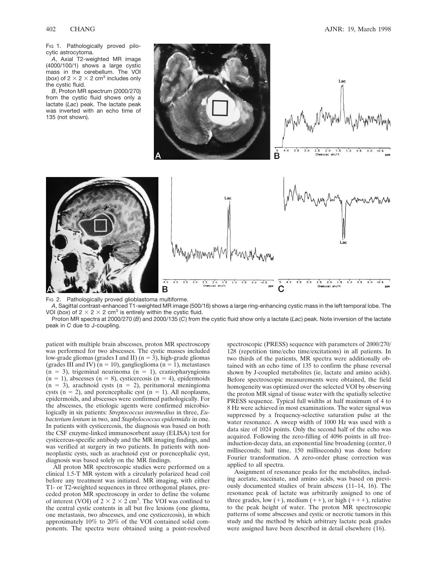Fig 1. Pathologically proved pilocytic astrocytoma.

*A*, Axial T2-weighted MR image (4000/100/1) shows a large cystic mass in the cerebellum. The VOI (*box*) of  $2 \times 2 \times 2$  cm<sup>3</sup> includes only the cystic fluid.

*B*, Proton MR spectrum (2000/270) from the cystic fluid shows only a lactate (*Lac*) peak. The lactate peak was inverted with an echo time of 135 (not shown).



.<br>PPM

Fig 2. Pathologically proved glioblastoma multiforme.

В

*A*, Sagittal contrast-enhanced T1-weighted MR image (500/16) shows a large ring-enhancing cystic mass in the left temporal lobe. The VOI (box) of  $2 \times 2 \times 2$  cm<sup>3</sup> is entirely within the cystic fluid.

Proton MR spectra at 2000/270 (*B*) and 2000/135 (*C*) from the cystic fluid show only a lactate (*Lac*) peak. Note inversion of the lactate peak in *C* due to J-coupling.

patient with multiple brain abscesses, proton MR spectroscopy was performed for two abscesses. The cystic masses included low-grade gliomas (grades I and II) ( $n = 3$ ), high-grade gliomas (grades III and IV) ( $n = 10$ ), ganglioglioma ( $n = 1$ ), metastases  $(n = 3)$ , trigeminal neurinoma  $(n = 1)$ , craniopharyngioma  $(n = 1)$ , abscesses  $(n = 8)$ , cysticercosis  $(n = 4)$ , epidermoids  $(n = 3)$ , arachnoid cysts  $(n = 2)$ , peritumoral meningioma cysts ( $n = 2$ ), and porencephalic cyst ( $n = 1$ ). All neoplasms, epidermoids, and abscesses were confirmed pathologically. For the abscesses, the etiologic agents were confirmed microbiologically in six patients: *Streptococcus intermedius* in three, *Eubacterium lentum* in two, and *Staphylococcus epidermidis* in one. In patients with cysticercosis, the diagnosis was based on both the CSF enzyme-linked immunosorbent assay (ELISA) test for cysticercus-specific antibody and the MR imaging findings, and was verified at surgery in two patients. In patients with nonneoplastic cysts, such as arachnoid cyst or porencephalic cyst, diagnosis was based solely on the MR findings.

All proton MR spectroscopic studies were performed on a clinical 1.5-T MR system with a circularly polarized head coil before any treatment was initiated. MR imaging, with either T1- or T2-weighted sequences in three orthogonal planes, preceded proton MR spectroscopy in order to define the volume of interest (VOI) of  $2 \times 2 \times 2$  cm<sup>3</sup>. The VOI was confined to the central cystic contents in all but five lesions (one glioma, one metastasis, two abscesses, and one cysticercosis), in which approximately 10% to 20% of the VOI contained solid components. The spectra were obtained using a point-resolved

spectroscopic (PRESS) sequence with parameters of 2000/270/ 128 (repetition time/echo time/excitations) in all patients. In two thirds of the patients, MR spectra were additionally obtained with an echo time of 135 to confirm the phase reversal shown by J-coupled metabolites (ie, lactate and amino acids). Before spectroscopic measurements were obtained, the field homogeneity was optimized over the selected VOI by observing the proton MR signal of tissue water with the spatially selective PRESS sequence. Typical full widths at half maximum of 4 to 8 Hz were achieved in most examinations. The water signal was suppressed by a frequency-selective saturation pulse at the water resonance. A sweep width of 1000 Hz was used with a data size of 1024 points. Only the second half of the echo was acquired. Following the zero-filling of 4096 points in all freeinduction-decay data, an exponential line broadening (center, 0 milliseconds; half time, 150 milliseconds) was done before Fourier transformation. A zero-order phase correction was applied to all spectra.

Assignment of resonance peaks for the metabolites, including acetate, succinate, and amino acids, was based on previously documented studies of brain abscess (11–14, 16). The resonance peak of lactate was arbitrarily assigned to one of three grades, low  $(+)$ , medium  $(++)$ , or high  $(+++)$ , relative to the peak height of water. The proton MR spectroscopic patterns of some abscesses and cystic or necrotic tumors in this study and the method by which arbitrary lactate peak grades were assigned have been described in detail elsewhere (16).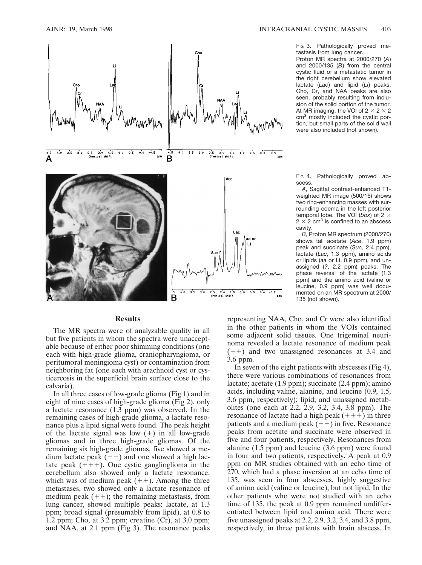

#### **Results**

The MR spectra were of analyzable quality in all but five patients in whom the spectra were unacceptable because of either poor shimming conditions (one each with high-grade glioma, craniopharyngioma, or peritumoral meningioma cyst) or contamination from neighboring fat (one each with arachnoid cyst or cysticercosis in the superficial brain surface close to the calvaria).

In all three cases of low-grade glioma (Fig 1) and in eight of nine cases of high-grade glioma (Fig 2), only a lactate resonance (1.3 ppm) was observed. In the remaining cases of high-grade glioma, a lactate resonance plus a lipid signal were found. The peak height of the lactate signal was low  $(+)$  in all low-grade gliomas and in three high-grade gliomas. Of the remaining six high-grade gliomas, five showed a medium lactate peak  $(++)$  and one showed a high lactate peak  $(+++)$ . One cystic ganglioglioma in the cerebellum also showed only a lactate resonance, which was of medium peak  $(++)$ . Among the three metastases, two showed only a lactate resonance of medium peak  $(++)$ ; the remaining metastasis, from lung cancer, showed multiple peaks: lactate, at 1.3 ppm; broad signal (presumably from lipid), at 0.8 to 1.2 ppm; Cho, at 3.2 ppm; creatine (Cr), at 3.0 ppm; and NAA, at 2.1 ppm (Fig 3). The resonance peaks Fig 3. Pathologically proved metastasis from lung cancer.

Proton MR spectra at 2000/270 (*A*) and 2000/135 (*B*) from the central cystic fluid of a metastatic tumor in the right cerebellum show elevated lactate (*Lac*) and lipid (*Li*) peaks. Cho, Cr, and NAA peaks are also seen, probably resulting from inclusion of the solid portion of the tumor. At MR imaging, the VOI of  $2 \times 2 \times 2$ cm<sup>3</sup> mostly included the cystic portion, but small parts of the solid wall were also included (not shown).

Fig 4. Pathologically proved abscess.

*A*, Sagittal contrast-enhanced T1 weighted MR image (500/16) shows two ring-enhancing masses with surrounding edema in the left posterior temporal lobe. The VOI ( $box$ ) of 2  $\times$  $2 \times 2$  cm<sup>3</sup> is confined to an abscess cavity.

*B*, Proton MR spectrum (2000/270) shows tall acetate (*Ace*, 1.9 ppm) peak and succinate (*Suc*, 2.4 ppm), lactate (*Lac*, 1.3 ppm), amino acids or lipids (aa or Li, 0.9 ppm), and unassigned (*?*, 2.2 ppm) peaks. The phase reversal of the lactate (1.3 ppm) and the amino acid (valine or leucine, 0.9 ppm) was well documented on an MR spectrum at 2000/ 135 (not shown).

representing NAA, Cho, and Cr were also identified in the other patients in whom the VOIs contained some adjacent solid tissues. One trigeminal neurinoma revealed a lactate resonance of medium peak  $(++)$  and two unassigned resonances at 3.4 and 3.6 ppm.

In seven of the eight patients with abscesses (Fig 4), there were various combinations of resonances from lactate; acetate (1.9 ppm); succinate (2.4 ppm); amino acids, including valine, alanine, and leucine (0.9, 1.5, 3.6 ppm, respectively); lipid; and unassigned metabolites (one each at 2.2, 2.9, 3.2, 3.4, 3.8 ppm). The resonance of lactate had a high peak  $(+++)$  in three patients and a medium peak  $(++)$  in five. Resonance peaks from acetate and succinate were observed in five and four patients, respectively. Resonances from alanine (1.5 ppm) and leucine (3.6 ppm) were found in four and two patients, respectively. A peak at 0.9 ppm on MR studies obtained with an echo time of 270, which had a phase inversion at an echo time of 135, was seen in four abscesses, highly suggestive of amino acid (valine or leucine), but not lipid. In the other patients who were not studied with an echo time of 135, the peak at 0.9 ppm remained undifferentiated between lipid and amino acid. There were five unassigned peaks at 2.2, 2.9, 3.2, 3.4, and 3.8 ppm, respectively, in three patients with brain abscess. In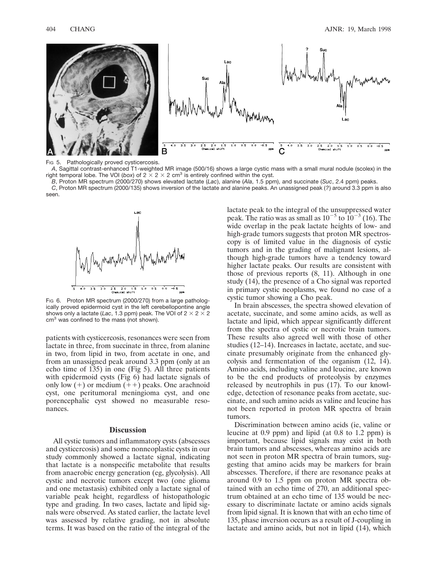

Fig 5. Pathologically proved cysticercosis.

*A*, Sagittal contrast-enhanced T1-weighted MR image (500/16) shows a large cystic mass with a small mural nodule (scolex) in the right temporal lobe. The VOI (*box*) of  $2 \times 2 \times 2$  cm<sup>3</sup> is entirely confined within the cyst.

*B*, Proton MR spectrum (2000/270) shows elevated lactate (*Lac*), alanine (*Ala*, 1.5 ppm), and succinate (*Suc*, 2.4 ppm) peaks.

*C*, Proton MR spectrum (2000/135) shows inversion of the lactate and alanine peaks. An unassigned peak (*?*) around 3.3 ppm is also seen.



FIG 6. Proton MR spectrum (2000/270) from a large pathologically proved epidermoid cyst in the left cerebellopontine angle shows only a lactate (*Lac*, 1.3 ppm) peak. The VOI of  $2 \times 2 \times 2$ cm<sup>3</sup> was confined to the mass (not shown).

patients with cysticercosis, resonances were seen from lactate in three, from succinate in three, from alanine in two, from lipid in two, from acetate in one, and from an unassigned peak around 3.3 ppm (only at an echo time of 135) in one (Fig 5). All three patients with epidermoid cysts (Fig 6) had lactate signals of only low  $(+)$  or medium  $(+)$  peaks. One arachnoid cyst, one peritumoral meningioma cyst, and one porencephalic cyst showed no measurable resonances.

## **Discussion**

All cystic tumors and inflammatory cysts (abscesses and cysticercosis) and some nonneoplastic cysts in our study commonly showed a lactate signal, indicating that lactate is a nonspecific metabolite that results from anaerobic energy generation (eg, glycolysis). All cystic and necrotic tumors except two (one glioma and one metastasis) exhibited only a lactate signal of variable peak height, regardless of histopathologic type and grading. In two cases, lactate and lipid signals were observed. As stated earlier, the lactate level was assessed by relative grading, not in absolute terms. It was based on the ratio of the integral of the

lactate peak to the integral of the unsuppressed water peak. The ratio was as small as  $10^{-5}$  to  $10^{-3}$  (16). The wide overlap in the peak lactate heights of low- and high-grade tumors suggests that proton MR spectroscopy is of limited value in the diagnosis of cystic tumors and in the grading of malignant lesions, although high-grade tumors have a tendency toward higher lactate peaks. Our results are consistent with those of previous reports (8, 11). Although in one study (14), the presence of a Cho signal was reported in primary cystic neoplasms, we found no case of a cystic tumor showing a Cho peak.

In brain abscesses, the spectra showed elevation of acetate, succinate, and some amino acids, as well as lactate and lipid, which appear significantly different from the spectra of cystic or necrotic brain tumors. These results also agreed well with those of other studies (12–14). Increases in lactate, acetate, and succinate presumably originate from the enhanced glycolysis and fermentation of the organism (12, 14). Amino acids, including valine and leucine, are known to be the end products of proteolysis by enzymes released by neutrophils in pus (17). To our knowledge, detection of resonance peaks from acetate, succinate, and such amino acids as valine and leucine has not been reported in proton MR spectra of brain tumors.

Discrimination between amino acids (ie, valine or leucine at 0.9 ppm) and lipid (at 0.8 to 1.2 ppm) is important, because lipid signals may exist in both brain tumors and abscesses, whereas amino acids are not seen in proton MR spectra of brain tumors, suggesting that amino acids may be markers for brain abscesses. Therefore, if there are resonance peaks at around 0.9 to 1.5 ppm on proton MR spectra obtained with an echo time of 270, an additional spectrum obtained at an echo time of 135 would be necessary to discriminate lactate or amino acids signals from lipid signal. It is known that with an echo time of 135, phase inversion occurs as a result of J-coupling in lactate and amino acids, but not in lipid (14), which